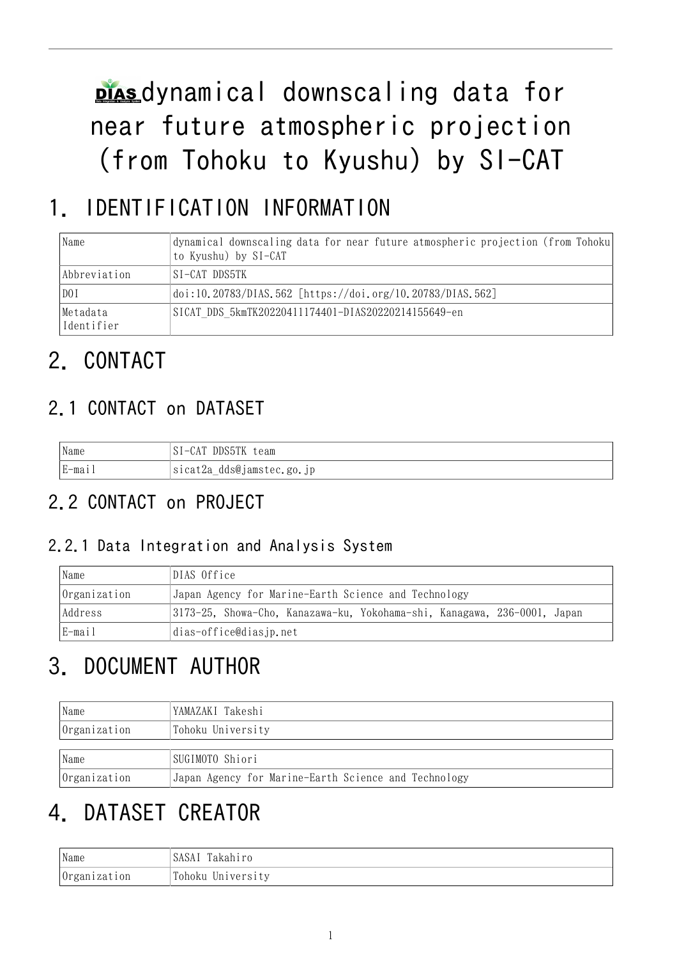plasdynamical downscaling data for near future atmospheric projection (from Tohoku to Kyushu) by SI-CAT

# 1. IDENTIFICATION INFORMATION

| Name                   | dynamical downscaling data for near future atmospheric projection (from Tohoku<br>to Kyushu) by SI-CAT |
|------------------------|--------------------------------------------------------------------------------------------------------|
| <i>Abbreviation</i>    | ISI-CAT DDS5TK                                                                                         |
| D0I                    | doi:10.20783/DIAS.562 [https://doi.org/10.20783/DIAS.562]                                              |
| Metadata<br>Identifier | SICAT DDS 5kmTK20220411174401-DIAS20220214155649-en                                                    |

# 2. CONTACT

### 2.1 CONTACT on DATASET

| <b>INT</b> | SI-CAT DDS5TK             |
|------------|---------------------------|
| Name       | team                      |
| E-mail     | sicat2a_dds@jamstec.go.jp |

## 2.2 CONTACT on PROJECT

### 2.2.1 Data Integration and Analysis System

| Name         | DIAS Office                                                              |  |  |
|--------------|--------------------------------------------------------------------------|--|--|
| Organization | Japan Agency for Marine-Earth Science and Technology                     |  |  |
| Address      | 3173-25, Showa-Cho, Kanazawa-ku, Yokohama-shi, Kanagawa, 236-0001, Japan |  |  |
| E-mail       | dias-office@dias.jp.net                                                  |  |  |

# 3. DOCUMENT AUTHOR

| Name                | YAMAZAKI Takeshi                                     |  |  |
|---------------------|------------------------------------------------------|--|--|
| Organization        | Tohoku University                                    |  |  |
|                     |                                                      |  |  |
| Name                | SUGIMOTO Shiori                                      |  |  |
| <i>Organization</i> | Japan Agency for Marine-Earth Science and Technology |  |  |

# 4. DATASET CREATOR

| Name         | Takahiro<br>SASAI |
|--------------|-------------------|
| Organization | Tohoku University |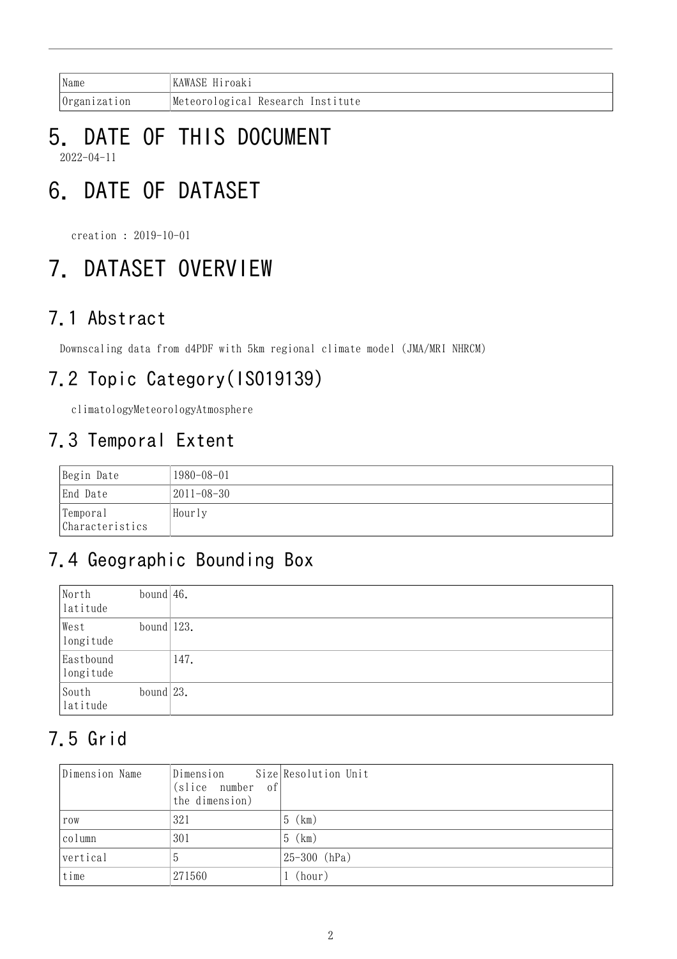| Name                | KAWASE Hiroaki                    |
|---------------------|-----------------------------------|
| <i>Organization</i> | Meteorological Research Institute |

### 5. DATE OF THIS DOCUMENT 2022-04-11

# 6. DATE OF DATASET

creation : 2019-10-01

# 7. DATASET OVERVIEW

### 7.1 Abstract

Downscaling data from d4PDF with 5km regional climate model (JMA/MRI NHRCM)

## 7.2 Topic Category(ISO19139)

climatologyMeteorologyAtmosphere

## 7.3 Temporal Extent

| Begin Date                  | 1980-08-01 |
|-----------------------------|------------|
| End Date                    | 2011–08–30 |
| Temporal<br>Characteristics | Hourly     |

## 7.4 Geographic Bounding Box

| North<br>latitude      | bound $ 46$ . |      |
|------------------------|---------------|------|
| West<br>longitude      | bound $123.$  |      |
| Eastbound<br>longitude |               | 147. |
| South<br>latitude      | bound $ 23$ . |      |

## 7.5 Grid

| Dimension Name | Dimension Size Resolution Unit<br>(slice number of)<br>the dimension) |                   |
|----------------|-----------------------------------------------------------------------|-------------------|
| row            | 321                                                                   | (km)<br>5 (       |
| column         | 301                                                                   | $5$ (km)          |
| vertical       | 5.                                                                    | $ 25 - 300$ (hPa) |
| time           | 271560                                                                | (hour)            |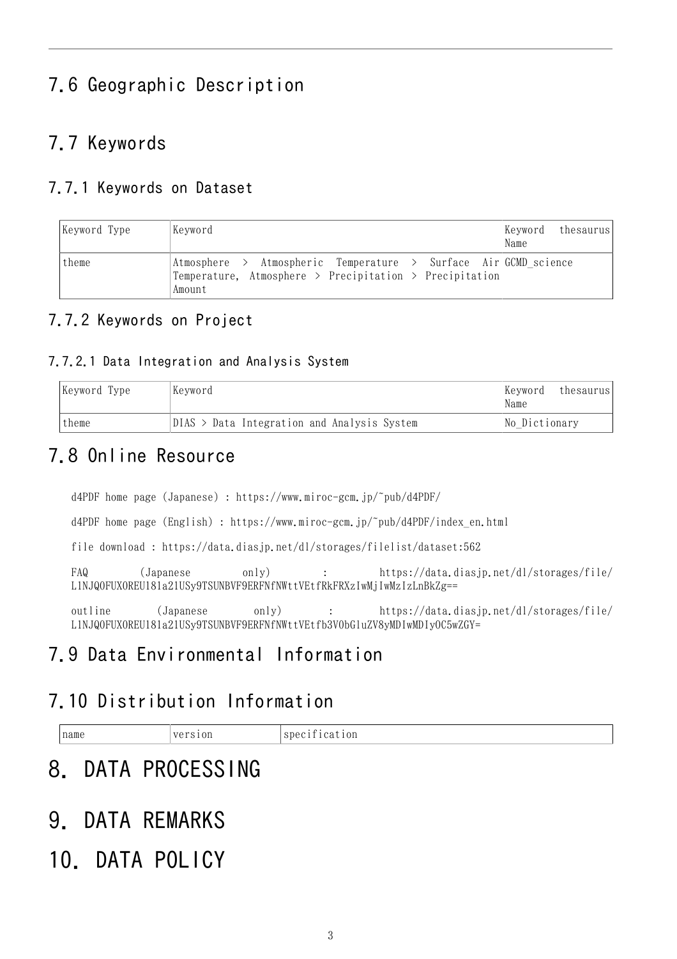## 7.6 Geographic Description

### 7.7 Keywords

### 7.7.1 Keywords on Dataset

| Keyword Type | Keyword                                                                                                                              | Keyword thesaurus <br>Name |
|--------------|--------------------------------------------------------------------------------------------------------------------------------------|----------------------------|
| theme        | Atmosphere > Atmospheric Temperature > Surface Air GCMD science<br>Temperature, Atmosphere > Precipitation > Precipitation<br>Amount |                            |

### 7.7.2 Keywords on Project

#### 7.7.2.1 Data Integration and Analysis System

| Keyword Type | Keyword                                       | Keyword <br>thesaurus<br>Name |
|--------------|-----------------------------------------------|-------------------------------|
| theme        | $DIAS$ > Data Integration and Analysis System | No Dictionary                 |

### 7.8 Online Resource

d4PDF home page (Japanese) : <https://www.miroc-gcm.jp/~pub/d4PDF/>

d4PDF home page (English) : [https://www.miroc-gcm.jp/~pub/d4PDF/index\\_en.html](https://www.miroc-gcm.jp/~pub/d4PDF/index_en.html)

file download : <https://data.diasjp.net/dl/storages/filelist/dataset:562>

FAQ (Japanese only) : [https://data.diasjp.net/dl/storages/file/](https://data.diasjp.net/dl/storages/file/L1NJQ0FUX0REU181a21USy9TSUNBVF9ERFNfNWttVEtfRkFRXzIwMjIwMzIzLnBkZg==) [L1NJQ0FUX0REU181a21USy9TSUNBVF9ERFNfNWttVEtfRkFRXzIwMjIwMzIzLnBkZg==](https://data.diasjp.net/dl/storages/file/L1NJQ0FUX0REU181a21USy9TSUNBVF9ERFNfNWttVEtfRkFRXzIwMjIwMzIzLnBkZg==)

outline (Japanese only) : [https://data.diasjp.net/dl/storages/file/](https://data.diasjp.net/dl/storages/file/L1NJQ0FUX0REU181a21USy9TSUNBVF9ERFNfNWttVEtfb3V0bGluZV8yMDIwMDIyOC5wZGY=) [L1NJQ0FUX0REU181a21USy9TSUNBVF9ERFNfNWttVEtfb3V0bGluZV8yMDIwMDIyOC5wZGY=](https://data.diasjp.net/dl/storages/file/L1NJQ0FUX0REU181a21USy9TSUNBVF9ERFNfNWttVEtfb3V0bGluZV8yMDIwMDIyOC5wZGY=)

### 7.9 Data Environmental Information

### 7.10 Distribution Information

| name | version | $\mathbf{a}$<br>cation<br>$1$ Spec $1$ |
|------|---------|----------------------------------------|
|------|---------|----------------------------------------|

## 8. DATA PROCESSING

## 9. DATA REMARKS

## 10. DATA POLICY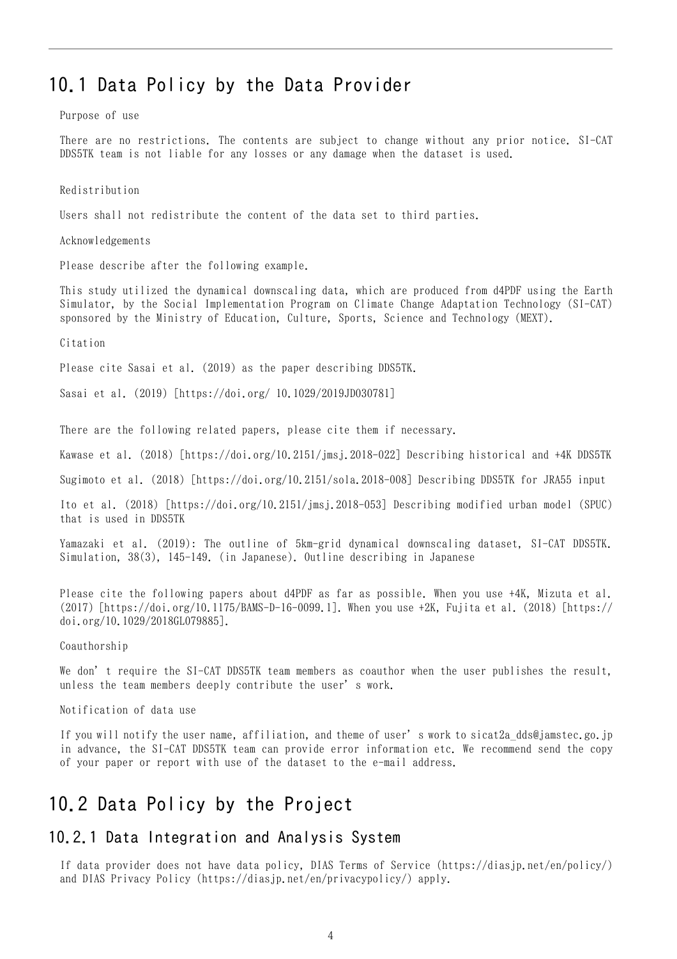### 10.1 Data Policy by the Data Provider

Purpose of use

There are no restrictions. The contents are subject to change without any prior notice. SI-CAT DDS5TK team is not liable for any losses or any damage when the dataset is used.

Redistribution

Users shall not redistribute the content of the data set to third parties.

Acknowledgements

Please describe after the following example.

This study utilized the dynamical downscaling data, which are produced from d4PDF using the Earth Simulator, by the Social Implementation Program on Climate Change Adaptation Technology (SI-CAT) sponsored by the Ministry of Education, Culture, Sports, Science and Technology (MEXT).

Citation

Please cite Sasai et al. (2019) as the paper describing DDS5TK.

Sasai et al. (2019) [https://doi.org/ 10.1029/2019JD030781]

There are the following related papers, please cite them if necessary.

Kawase et al. (2018) [https://doi.org/10.2151/jmsj.2018-022] Describing historical and +4K DDS5TK

Sugimoto et al. (2018) [https://doi.org/10.2151/sola.2018-008] Describing DDS5TK for JRA55 input

Ito et al. (2018) [https://doi.org/10.2151/jmsj.2018-053] Describing modified urban model (SPUC) that is used in DDS5TK

Yamazaki et al. (2019): The outline of 5km-grid dynamical downscaling dataset, SI-CAT DDS5TK. Simulation, 38(3), 145-149. (in Japanese). Outline describing in Japanese

Please cite the following papers about d4PDF as far as possible. When you use +4K, Mizuta et al. (2017) [https://doi.org/10.1175/BAMS-D-16-0099.1]. When you use +2K, Fujita et al. (2018) [https:// doi.org/10.1029/2018GL079885].

Coauthorship

We don't require the SI-CAT DDS5TK team members as coauthor when the user publishes the result. unless the team members deeply contribute the user's work.

Notification of data use

If you will notify the user name, affiliation, and theme of user's work to sicat2a\_dds@jamstec.go.jp in advance, the SI-CAT DDS5TK team can provide error information etc. We recommend send the copy of your paper or report with use of the dataset to the e-mail address.

### 10.2 Data Policy by the Project

#### 10.2.1 Data Integration and Analysis System

If data provider does not have data policy, DIAS Terms of Service (https://diasjp.net/en/policy/) and DIAS Privacy Policy (https://diasjp.net/en/privacypolicy/) apply.